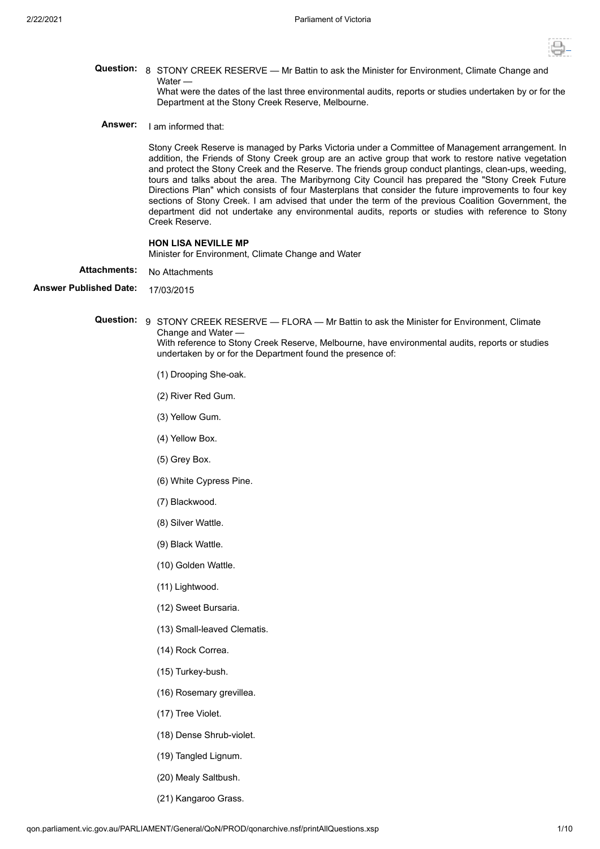

**Question:** 8 STONY CREEK RESERVE — Mr Battin to ask the Minister for Environment, Climate Change and Water —

What were the dates of the last three environmental audits, reports or studies undertaken by or for the Department at the Stony Creek Reserve, Melbourne.

**Answer:** I am informed that:

Stony Creek Reserve is managed by Parks Victoria under a Committee of Management arrangement. In addition, the Friends of Stony Creek group are an active group that work to restore native vegetation and protect the Stony Creek and the Reserve. The friends group conduct plantings, clean-ups, weeding, tours and talks about the area. The Maribyrnong City Council has prepared the "Stony Creek Future Directions Plan" which consists of four Masterplans that consider the future improvements to four key sections of Stony Creek. I am advised that under the term of the previous Coalition Government, the department did not undertake any environmental audits, reports or studies with reference to Stony Creek Reserve.

### **HON LISA NEVILLE MP**

Minister for Environment, Climate Change and Water

- Attachments: No Attachments
- **Answer Published Date:** 17/03/2015

**Question:** 9 STONY CREEK RESERVE — FLORA — Mr Battin to ask the Minister for Environment, Climate Change and Water — With reference to Stony Creek Reserve, Melbourne, have environmental audits, reports or studies undertaken by or for the Department found the presence of:

- (1) Drooping She-oak.
- (2) River Red Gum.
- (3) Yellow Gum.
- (4) Yellow Box.
- (5) Grey Box.
- (6) White Cypress Pine.
- (7) Blackwood.
- (8) Silver Wattle.
- (9) Black Wattle.
- (10) Golden Wattle.
- (11) Lightwood.
- (12) Sweet Bursaria.
- (13) Small-leaved Clematis.
- (14) Rock Correa.
- (15) Turkey-bush.
- (16) Rosemary grevillea.
- (17) Tree Violet.
- (18) Dense Shrub-violet.
- (19) Tangled Lignum.
- (20) Mealy Saltbush.
- (21) Kangaroo Grass.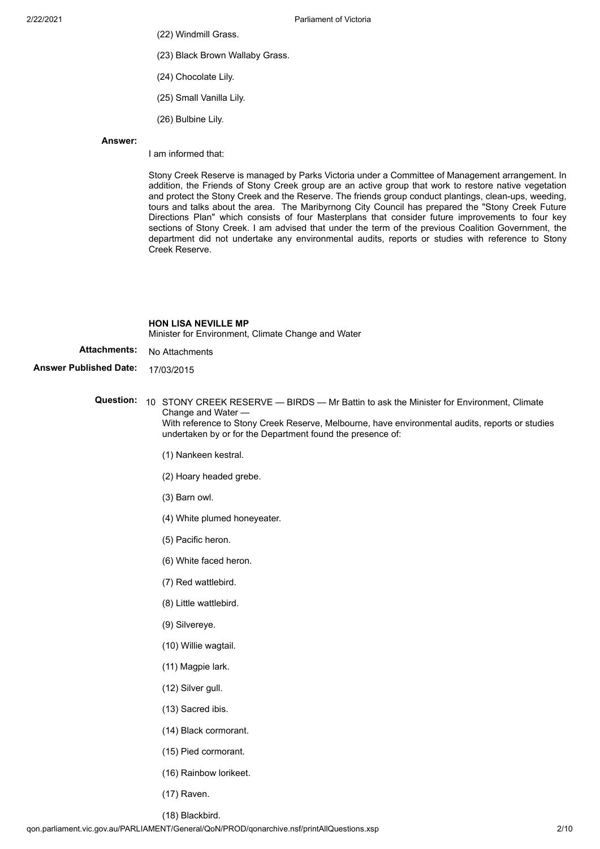- (22) Windmill Grass.
- (23) Black Brown Wallaby Grass.
- (24) Chocolate Lily.
- (25) Small Vanilla Lily.
- (26) Bulbine Lily.

### **Answer:**

I am informed that:

Stony Creek Reserve is managed by Parks Victoria under a Committee of Management arrangement. In addition, the Friends of Stony Creek group are an active group that work to restore native vegetation and protect the Stony Creek and the Reserve. The friends group conduct plantings, clean-ups, weeding, tours and talks about the area. The Maribyrnong City Council has prepared the "Stony Creek Future Directions Plan" which consists of four Masterplans that consider future improvements to four key sections of Stony Creek. I am advised that under the term of the previous Coalition Government, the department did not undertake any environmental audits, reports or studies with reference to Stony Creek Reserve.

### **HON LISA NEVILLE MP**

Minister for Environment, Climate Change and Water

- Attachments: No Attachments
- **Answer Published Date:** 17/03/2015
	- **Question:** 10 STONY CREEK RESERVE BIRDS Mr Battin to ask the Minister for Environment, Climate Change and Water — With reference to Stony Creek Reserve, Melbourne, have environmental audits, reports or studies undertaken by or for the Department found the presence of:
		- (1) Nankeen kestral.
		- (2) Hoary headed grebe.
		- (3) Barn owl.
		- (4) White plumed honeyeater.
		- (5) Pacific heron.
		- (6) White faced heron.
		- (7) Red wattlebird.
		- (8) Little wattlebird.
		- (9) Silvereye.
		- (10) Willie wagtail.
		- (11) Magpie lark.
		- (12) Silver gull.
		- (13) Sacred ibis.
		- (14) Black cormorant.
		- (15) Pied cormorant.
		- (16) Rainbow lorikeet.
		- (17) Raven.
		- (18) Blackbird.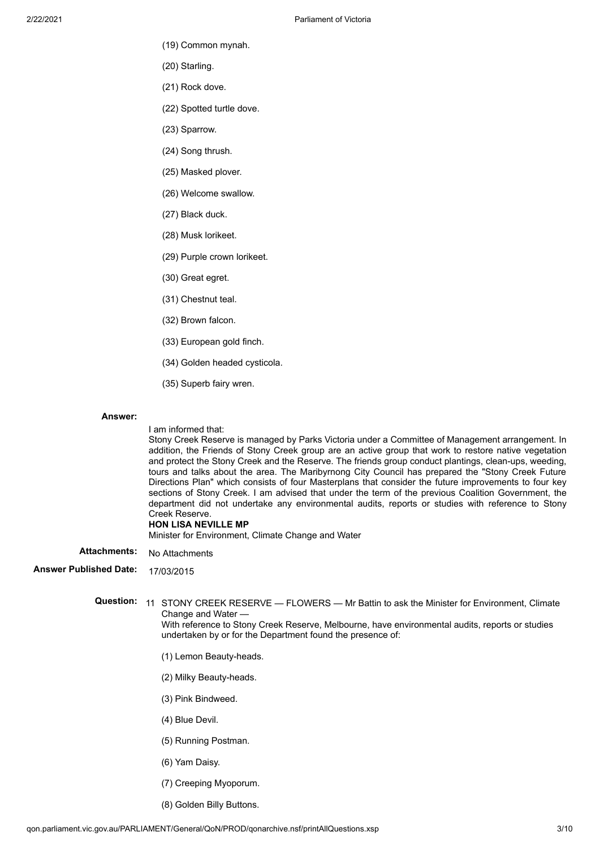- (19) Common mynah.
- (20) Starling.
- (21) Rock dove.
- (22) Spotted turtle dove.
- (23) Sparrow.
- (24) Song thrush.
- (25) Masked plover.
- (26) Welcome swallow.
- (27) Black duck.
- (28) Musk lorikeet.
- (29) Purple crown lorikeet.
- (30) Great egret.
- (31) Chestnut teal.
- (32) Brown falcon.
- (33) European gold finch.
- (34) Golden headed cysticola.
- (35) Superb fairy wren.

## **Answer:**

#### I am informed that:

Stony Creek Reserve is managed by Parks Victoria under a Committee of Management arrangement. In addition, the Friends of Stony Creek group are an active group that work to restore native vegetation and protect the Stony Creek and the Reserve. The friends group conduct plantings, clean-ups, weeding, tours and talks about the area. The Maribyrnong City Council has prepared the "Stony Creek Future Directions Plan" which consists of four Masterplans that consider the future improvements to four key sections of Stony Creek. I am advised that under the term of the previous Coalition Government, the department did not undertake any environmental audits, reports or studies with reference to Stony Creek Reserve.

## **HON LISA NEVILLE MP**

Minister for Environment, Climate Change and Water

Attachments: No Attachments

# **Answer Published Date:** 17/03/2015

**Question:** 11 STONY CREEK RESERVE — FLOWERS — Mr Battin to ask the Minister for Environment, Climate Change and Water — With reference to Stony Creek Reserve, Melbourne, have environmental audits, reports or studies undertaken by or for the Department found the presence of:

- (1) Lemon Beauty-heads.
- (2) Milky Beauty-heads.
- (3) Pink Bindweed.
- (4) Blue Devil.
- (5) Running Postman.
- (6) Yam Daisy.
- (7) Creeping Myoporum.
- (8) Golden Billy Buttons.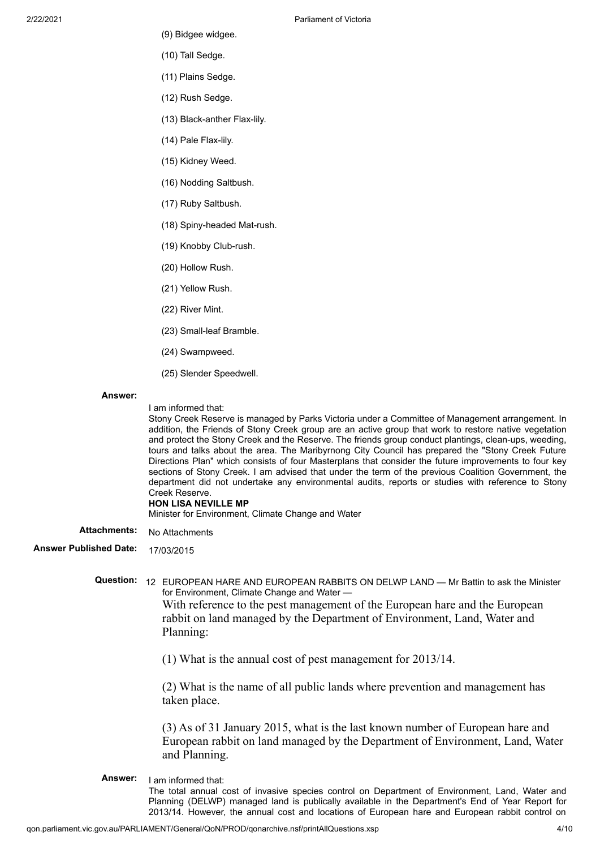- (9) Bidgee widgee.
- (10) Tall Sedge.
- (11) Plains Sedge.
- (12) Rush Sedge.
- (13) Black-anther Flax-lily.
- (14) Pale Flax-lily.
- (15) Kidney Weed.
- (16) Nodding Saltbush.
- (17) Ruby Saltbush.
- (18) Spiny-headed Mat-rush.
- (19) Knobby Club-rush.
- (20) Hollow Rush.
- (21) Yellow Rush.
- (22) River Mint.
- (23) Small-leaf Bramble.
- (24) Swampweed.
- (25) Slender Speedwell.

#### **Answer:**

I am informed that:

Stony Creek Reserve is managed by Parks Victoria under a Committee of Management arrangement. In addition, the Friends of Stony Creek group are an active group that work to restore native vegetation and protect the Stony Creek and the Reserve. The friends group conduct plantings, clean-ups, weeding, tours and talks about the area. The Maribyrnong City Council has prepared the "Stony Creek Future Directions Plan" which consists of four Masterplans that consider the future improvements to four key sections of Stony Creek. I am advised that under the term of the previous Coalition Government, the department did not undertake any environmental audits, reports or studies with reference to Stony Creek Reserve.

### **HON LISA NEVILLE MP**

Minister for Environment, Climate Change and Water

Attachments: No Attachments

**Answer Published Date:** 17/03/2015

**Question:** 12 EUROPEAN HARE AND EUROPEAN RABBITS ON DELWP LAND — Mr Battin to ask the Minister for Environment, Climate Change and Water — With reference to the pest management of the European hare and the European rabbit on land managed by the Department of Environment, Land, Water and Planning:

(1) What is the annual cost of pest management for 2013/14.

(2) What is the name of all public lands where prevention and management has taken place.

(3) As of 31 January 2015, what is the last known number of European hare and European rabbit on land managed by the Department of Environment, Land, Water and Planning.

**Answer:** I am informed that: The total annual cost of invasive species control on Department of Environment, Land, Water and Planning (DELWP) managed land is publically available in the Department's End of Year Report for 2013/14. However, the annual cost and locations of European hare and European rabbit control on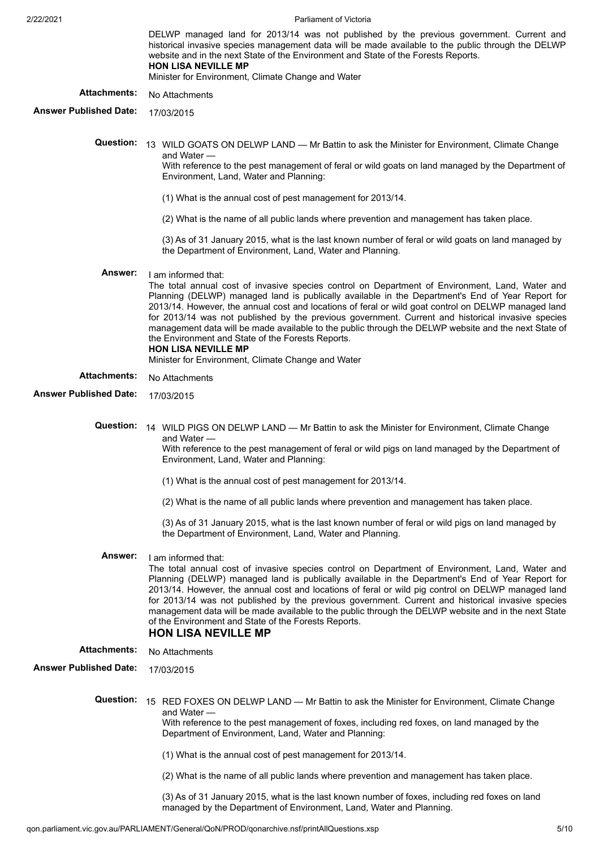2/22/2021 Parliament of Victoria

|                               | DELWP managed land for 2013/14 was not published by the previous government. Current and<br>historical invasive species management data will be made available to the public through the DELWP<br>website and in the next State of the Environment and State of the Forests Reports.<br><b>HON LISA NEVILLE MP</b><br>Minister for Environment, Climate Change and Water                                                                                                                                                                                                                                                                                                                |
|-------------------------------|-----------------------------------------------------------------------------------------------------------------------------------------------------------------------------------------------------------------------------------------------------------------------------------------------------------------------------------------------------------------------------------------------------------------------------------------------------------------------------------------------------------------------------------------------------------------------------------------------------------------------------------------------------------------------------------------|
| <b>Attachments:</b>           | No Attachments                                                                                                                                                                                                                                                                                                                                                                                                                                                                                                                                                                                                                                                                          |
| <b>Answer Published Date:</b> | 17/03/2015                                                                                                                                                                                                                                                                                                                                                                                                                                                                                                                                                                                                                                                                              |
| <b>Question:</b>              | 13 WILD GOATS ON DELWP LAND - Mr Battin to ask the Minister for Environment, Climate Change<br>and Water -<br>With reference to the pest management of feral or wild goats on land managed by the Department of<br>Environment, Land, Water and Planning:                                                                                                                                                                                                                                                                                                                                                                                                                               |
|                               | (1) What is the annual cost of pest management for 2013/14.                                                                                                                                                                                                                                                                                                                                                                                                                                                                                                                                                                                                                             |
|                               | (2) What is the name of all public lands where prevention and management has taken place.                                                                                                                                                                                                                                                                                                                                                                                                                                                                                                                                                                                               |
|                               | (3) As of 31 January 2015, what is the last known number of feral or wild goats on land managed by<br>the Department of Environment, Land, Water and Planning.                                                                                                                                                                                                                                                                                                                                                                                                                                                                                                                          |
| Answer:                       | I am informed that:<br>The total annual cost of invasive species control on Department of Environment, Land, Water and<br>Planning (DELWP) managed land is publically available in the Department's End of Year Report for<br>2013/14. However, the annual cost and locations of feral or wild goat control on DELWP managed land<br>for 2013/14 was not published by the previous government. Current and historical invasive species<br>management data will be made available to the public through the DELWP website and the next State of<br>the Environment and State of the Forests Reports.<br><b>HON LISA NEVILLE MP</b><br>Minister for Environment, Climate Change and Water |
| <b>Attachments:</b>           | No Attachments                                                                                                                                                                                                                                                                                                                                                                                                                                                                                                                                                                                                                                                                          |
| <b>Answer Published Date:</b> | 17/03/2015                                                                                                                                                                                                                                                                                                                                                                                                                                                                                                                                                                                                                                                                              |
|                               | Question: 14 WILD PIGS ON DELWP LAND - Mr Battin to ask the Minister for Environment, Climate Change<br>and Water —<br>With reference to the pest management of feral or wild pigs on land managed by the Department of<br>Environment, Land, Water and Planning:                                                                                                                                                                                                                                                                                                                                                                                                                       |
|                               | (1) What is the annual cost of pest management for 2013/14.                                                                                                                                                                                                                                                                                                                                                                                                                                                                                                                                                                                                                             |
|                               | (2) What is the name of all public lands where prevention and management has taken place.                                                                                                                                                                                                                                                                                                                                                                                                                                                                                                                                                                                               |
|                               | (3) As of 31 January 2015, what is the last known number of feral or wild pigs on land managed by<br>the Department of Environment, Land, Water and Planning.                                                                                                                                                                                                                                                                                                                                                                                                                                                                                                                           |
| Answer:                       | I am informed that:<br>The total annual cost of invasive species control on Department of Environment, Land, Water and<br>Planning (DELWP) managed land is publically available in the Department's End of Year Report for<br>2013/14. However, the annual cost and locations of feral or wild pig control on DELWP managed land<br>for 2013/14 was not published by the previous government. Current and historical invasive species<br>management data will be made available to the public through the DELWP website and in the next State<br>of the Environment and State of the Forests Reports.<br><b>HON LISA NEVILLE MP</b>                                                     |
| <b>Attachments:</b>           | No Attachments                                                                                                                                                                                                                                                                                                                                                                                                                                                                                                                                                                                                                                                                          |
| <b>Answer Published Date:</b> | 17/03/2015                                                                                                                                                                                                                                                                                                                                                                                                                                                                                                                                                                                                                                                                              |
| <b>Question:</b>              | 15 RED FOXES ON DELWP LAND — Mr Battin to ask the Minister for Environment, Climate Change<br>and Water -<br>With reference to the pest management of foxes, including red foxes, on land managed by the<br>Department of Environment, Land, Water and Planning:                                                                                                                                                                                                                                                                                                                                                                                                                        |
|                               | (1) What is the annual cost of pest management for 2013/14.                                                                                                                                                                                                                                                                                                                                                                                                                                                                                                                                                                                                                             |
|                               | (2) What is the name of all public lands where prevention and management has taken place.                                                                                                                                                                                                                                                                                                                                                                                                                                                                                                                                                                                               |
|                               | (3) As of 31 January 2015, what is the last known number of foxes, including red foxes on land                                                                                                                                                                                                                                                                                                                                                                                                                                                                                                                                                                                          |

managed by the Department of Environment, Land, Water and Planning.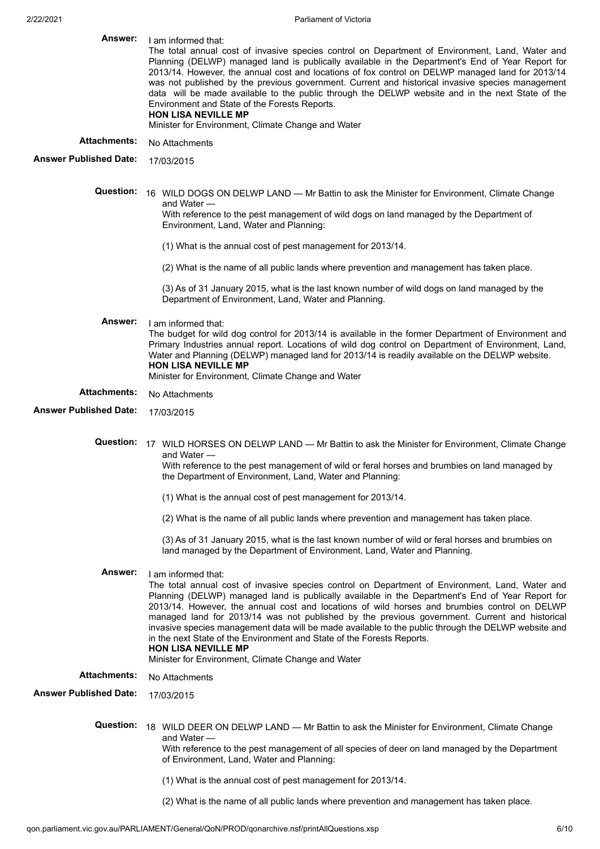| Answer:                       | I am informed that:<br>The total annual cost of invasive species control on Department of Environment, Land, Water and<br>Planning (DELWP) managed land is publically available in the Department's End of Year Report for<br>2013/14. However, the annual cost and locations of fox control on DELWP managed land for 2013/14<br>was not published by the previous government. Current and historical invasive species management<br>data will be made available to the public through the DELWP website and in the next State of the<br>Environment and State of the Forests Reports.<br><b>HON LISA NEVILLE MP</b><br>Minister for Environment, Climate Change and Water                      |
|-------------------------------|--------------------------------------------------------------------------------------------------------------------------------------------------------------------------------------------------------------------------------------------------------------------------------------------------------------------------------------------------------------------------------------------------------------------------------------------------------------------------------------------------------------------------------------------------------------------------------------------------------------------------------------------------------------------------------------------------|
| <b>Attachments:</b>           | No Attachments                                                                                                                                                                                                                                                                                                                                                                                                                                                                                                                                                                                                                                                                                   |
| <b>Answer Published Date:</b> | 17/03/2015                                                                                                                                                                                                                                                                                                                                                                                                                                                                                                                                                                                                                                                                                       |
| Question:                     | 16 WILD DOGS ON DELWP LAND - Mr Battin to ask the Minister for Environment, Climate Change<br>and Water —<br>With reference to the pest management of wild dogs on land managed by the Department of<br>Environment, Land, Water and Planning:                                                                                                                                                                                                                                                                                                                                                                                                                                                   |
|                               | (1) What is the annual cost of pest management for 2013/14.                                                                                                                                                                                                                                                                                                                                                                                                                                                                                                                                                                                                                                      |
|                               | (2) What is the name of all public lands where prevention and management has taken place.                                                                                                                                                                                                                                                                                                                                                                                                                                                                                                                                                                                                        |
|                               | (3) As of 31 January 2015, what is the last known number of wild dogs on land managed by the<br>Department of Environment, Land, Water and Planning.                                                                                                                                                                                                                                                                                                                                                                                                                                                                                                                                             |
| <b>Answer:</b>                | I am informed that:<br>The budget for wild dog control for 2013/14 is available in the former Department of Environment and<br>Primary Industries annual report. Locations of wild dog control on Department of Environment, Land,<br>Water and Planning (DELWP) managed land for 2013/14 is readily available on the DELWP website.<br><b>HON LISA NEVILLE MP</b><br>Minister for Environment, Climate Change and Water                                                                                                                                                                                                                                                                         |
| <b>Attachments:</b>           | No Attachments                                                                                                                                                                                                                                                                                                                                                                                                                                                                                                                                                                                                                                                                                   |
| <b>Answer Published Date:</b> | 17/03/2015                                                                                                                                                                                                                                                                                                                                                                                                                                                                                                                                                                                                                                                                                       |
| <b>Question:</b>              | 17 WILD HORSES ON DELWP LAND - Mr Battin to ask the Minister for Environment, Climate Change<br>and Water —<br>With reference to the pest management of wild or feral horses and brumbies on land managed by<br>the Department of Environment, Land, Water and Planning:                                                                                                                                                                                                                                                                                                                                                                                                                         |
|                               | (1) What is the annual cost of pest management for 2013/14.                                                                                                                                                                                                                                                                                                                                                                                                                                                                                                                                                                                                                                      |
|                               | (2) What is the name of all public lands where prevention and management has taken place.                                                                                                                                                                                                                                                                                                                                                                                                                                                                                                                                                                                                        |
|                               | (3) As of 31 January 2015, what is the last known number of wild or feral horses and brumbies on<br>land managed by the Department of Environment, Land, Water and Planning.                                                                                                                                                                                                                                                                                                                                                                                                                                                                                                                     |
| <b>Answer:</b>                | I am informed that:<br>The total annual cost of invasive species control on Department of Environment, Land, Water and<br>Planning (DELWP) managed land is publically available in the Department's End of Year Report for<br>2013/14. However, the annual cost and locations of wild horses and brumbies control on DELWP<br>managed land for 2013/14 was not published by the previous government. Current and historical<br>invasive species management data will be made available to the public through the DELWP website and<br>in the next State of the Environment and State of the Forests Reports.<br><b>HON LISA NEVILLE MP</b><br>Minister for Environment, Climate Change and Water |
| <b>Attachments:</b>           | No Attachments                                                                                                                                                                                                                                                                                                                                                                                                                                                                                                                                                                                                                                                                                   |
| <b>Answer Published Date:</b> | 17/03/2015                                                                                                                                                                                                                                                                                                                                                                                                                                                                                                                                                                                                                                                                                       |
| <b>Question:</b>              | 18 WILD DEER ON DELWP LAND — Mr Battin to ask the Minister for Environment, Climate Change<br>and Water —<br>With reference to the pest management of all species of deer on land managed by the Department<br>of Environment, Land, Water and Planning:                                                                                                                                                                                                                                                                                                                                                                                                                                         |
|                               | (1) What is the annual cost of pest management for 2013/14.                                                                                                                                                                                                                                                                                                                                                                                                                                                                                                                                                                                                                                      |
|                               | (2) What is the name of all public lands where prevention and management has taken place.                                                                                                                                                                                                                                                                                                                                                                                                                                                                                                                                                                                                        |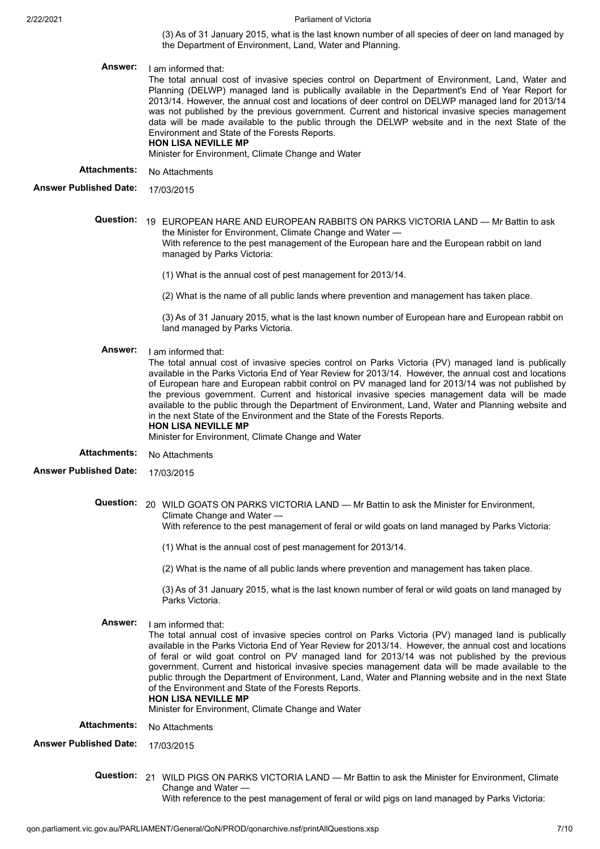(3) As of 31 January 2015, what is the last known number of all species of deer on land managed by the Department of Environment, Land, Water and Planning.

**Answer:** I am informed that:

The total annual cost of invasive species control on Department of Environment, Land, Water and Planning (DELWP) managed land is publically available in the Department's End of Year Report for 2013/14. However, the annual cost and locations of deer control on DELWP managed land for 2013/14 was not published by the previous government. Current and historical invasive species management data will be made available to the public through the DELWP website and in the next State of the Environment and State of the Forests Reports.

# **HON LISA NEVILLE MP**

Minister for Environment, Climate Change and Water

**Attachments:** No Attachments

**Answer Published Date:** 17/03/2015

- **Question:** 19 EUROPEAN HARE AND EUROPEAN RABBITS ON PARKS VICTORIA LAND Mr Battin to ask the Minister for Environment, Climate Change and Water — With reference to the pest management of the European hare and the European rabbit on land managed by Parks Victoria:
	- (1) What is the annual cost of pest management for 2013/14.
	- (2) What is the name of all public lands where prevention and management has taken place.

(3) As of 31 January 2015, what is the last known number of European hare and European rabbit on land managed by Parks Victoria.

**Answer:** I am informed that:

The total annual cost of invasive species control on Parks Victoria (PV) managed land is publically available in the Parks Victoria End of Year Review for 2013/14. However, the annual cost and locations of European hare and European rabbit control on PV managed land for 2013/14 was not published by the previous government. Current and historical invasive species management data will be made available to the public through the Department of Environment, Land, Water and Planning website and in the next State of the Environment and the State of the Forests Reports. **HON LISA NEVILLE MP**

Minister for Environment, Climate Change and Water

- Attachments: No Attachments
- **Answer Published Date:** 17/03/2015

**Question:** 20 WILD GOATS ON PARKS VICTORIA LAND — Mr Battin to ask the Minister for Environment, Climate Change and Water —

With reference to the pest management of feral or wild goats on land managed by Parks Victoria:

- (1) What is the annual cost of pest management for 2013/14.
- (2) What is the name of all public lands where prevention and management has taken place.

(3) As of 31 January 2015, what is the last known number of feral or wild goats on land managed by Parks Victoria.

**Answer:** I am informed that:

The total annual cost of invasive species control on Parks Victoria (PV) managed land is publically available in the Parks Victoria End of Year Review for 2013/14. However, the annual cost and locations of feral or wild goat control on PV managed land for 2013/14 was not published by the previous government. Current and historical invasive species management data will be made available to the public through the Department of Environment, Land, Water and Planning website and in the next State of the Environment and State of the Forests Reports.

### **HON LISA NEVILLE MP**

Minister for Environment, Climate Change and Water

**Attachments:** No Attachments

**Answer Published Date:** 17/03/2015

**Question:** 21 WILD PIGS ON PARKS VICTORIA LAND — Mr Battin to ask the Minister for Environment, Climate Change and Water — With reference to the pest management of feral or wild pigs on land managed by Parks Victoria: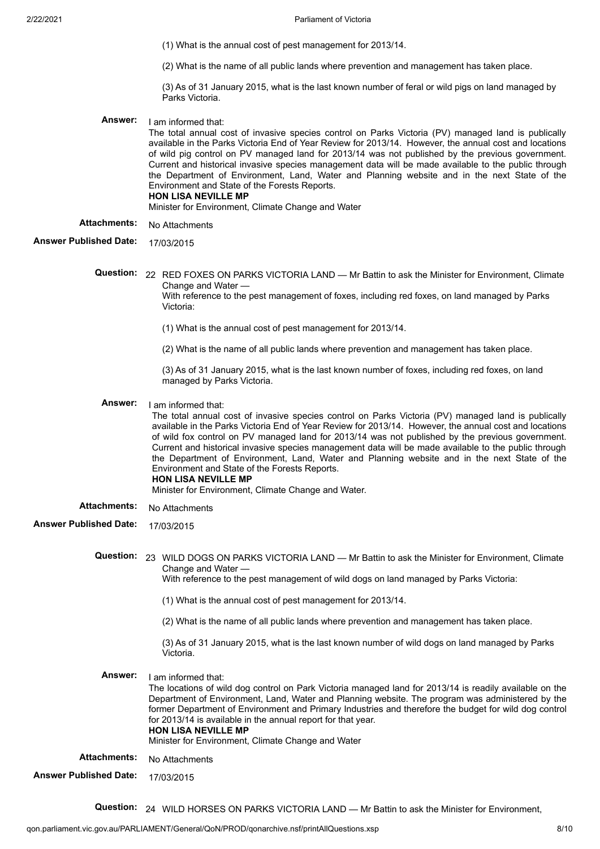- (1) What is the annual cost of pest management for 2013/14.
- (2) What is the name of all public lands where prevention and management has taken place.

(3) As of 31 January 2015, what is the last known number of feral or wild pigs on land managed by Parks Victoria.

- **Answer:** I am informed that: The total annual cost of invasive species control on Parks Victoria (PV) managed land is publically available in the Parks Victoria End of Year Review for 2013/14. However, the annual cost and locations of wild pig control on PV managed land for 2013/14 was not published by the previous government. Current and historical invasive species management data will be made available to the public through the Department of Environment, Land, Water and Planning website and in the next State of the Environment and State of the Forests Reports. **HON LISA NEVILLE MP** Minister for Environment, Climate Change and Water
- Attachments: No Attachments
- **Answer Published Date:** 17/03/2015
	- **Question:** 22 RED FOXES ON PARKS VICTORIA LAND Mr Battin to ask the Minister for Environment, Climate Change and Water — With reference to the pest management of foxes, including red foxes, on land managed by Parks Victoria:
		- (1) What is the annual cost of pest management for 2013/14.
		- (2) What is the name of all public lands where prevention and management has taken place.

(3) As of 31 January 2015, what is the last known number of foxes, including red foxes, on land managed by Parks Victoria.

**Answer:** I am informed that:

The total annual cost of invasive species control on Parks Victoria (PV) managed land is publically available in the Parks Victoria End of Year Review for 2013/14. However, the annual cost and locations of wild fox control on PV managed land for 2013/14 was not published by the previous government. Current and historical invasive species management data will be made available to the public through the Department of Environment, Land, Water and Planning website and in the next State of the Environment and State of the Forests Reports. **HON LISA NEVILLE MP**

Minister for Environment, Climate Change and Water.

- Attachments: No Attachments
- **Answer Published Date:** 17/03/2015
	- **Question:** 23 WILD DOGS ON PARKS VICTORIA LAND Mr Battin to ask the Minister for Environment, Climate Change and Water — With reference to the pest management of wild dogs on land managed by Parks Victoria:
		- (1) What is the annual cost of pest management for 2013/14.
		- (2) What is the name of all public lands where prevention and management has taken place.

(3) As of 31 January 2015, what is the last known number of wild dogs on land managed by Parks Victoria.

**Answer:** I am informed that:

The locations of wild dog control on Park Victoria managed land for 2013/14 is readily available on the Department of Environment, Land, Water and Planning website. The program was administered by the former Department of Environment and Primary Industries and therefore the budget for wild dog control for 2013/14 is available in the annual report for that year. **HON LISA NEVILLE MP**

Minister for Environment, Climate Change and Water

- Attachments: No Attachments
- **Answer Published Date:** 17/03/2015

**Question:** 24 WILD HORSES ON PARKS VICTORIA LAND — Mr Battin to ask the Minister for Environment,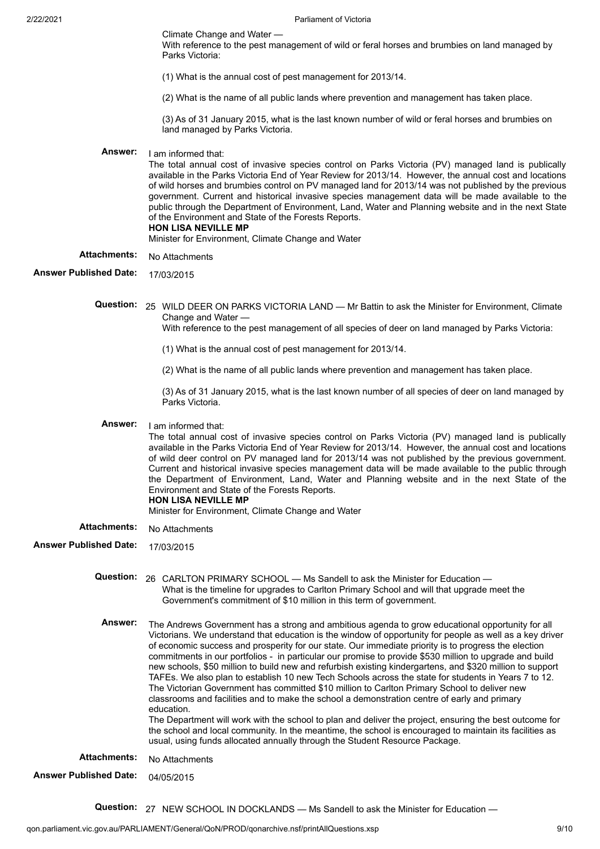Climate Change and Water —

With reference to the pest management of wild or feral horses and brumbies on land managed by Parks Victoria:

(1) What is the annual cost of pest management for 2013/14.

(2) What is the name of all public lands where prevention and management has taken place.

(3) As of 31 January 2015, what is the last known number of wild or feral horses and brumbies on land managed by Parks Victoria.

# **Answer:** I am informed that:

The total annual cost of invasive species control on Parks Victoria (PV) managed land is publically available in the Parks Victoria End of Year Review for 2013/14. However, the annual cost and locations of wild horses and brumbies control on PV managed land for 2013/14 was not published by the previous government. Current and historical invasive species management data will be made available to the public through the Department of Environment, Land, Water and Planning website and in the next State of the Environment and State of the Forests Reports. **HON LISA NEVILLE MP**

Minister for Environment, Climate Change and Water

# Attachments: No Attachments

**Answer Published Date:** 17/03/2015

**Question:** 25 WILD DEER ON PARKS VICTORIA LAND — Mr Battin to ask the Minister for Environment, Climate Change and Water —

With reference to the pest management of all species of deer on land managed by Parks Victoria:

- (1) What is the annual cost of pest management for 2013/14.
- (2) What is the name of all public lands where prevention and management has taken place.

(3) As of 31 January 2015, what is the last known number of all species of deer on land managed by Parks Victoria.

**Answer:** I am informed that:

The total annual cost of invasive species control on Parks Victoria (PV) managed land is publically available in the Parks Victoria End of Year Review for 2013/14. However, the annual cost and locations of wild deer control on PV managed land for 2013/14 was not published by the previous government. Current and historical invasive species management data will be made available to the public through the Department of Environment, Land, Water and Planning website and in the next State of the Environment and State of the Forests Reports.

- **HON LISA NEVILLE MP**
- Minister for Environment, Climate Change and Water

Attachments: No Attachments

**Answer Published Date:** 17/03/2015

**Question:** 26 CARLTON PRIMARY SCHOOL — Ms Sandell to ask the Minister for Education — What is the timeline for upgrades to Carlton Primary School and will that upgrade meet the Government's commitment of \$10 million in this term of government.

**Answer:** The Andrews Government has a strong and ambitious agenda to grow educational opportunity for all Victorians. We understand that education is the window of opportunity for people as well as a key driver of economic success and prosperity for our state. Our immediate priority is to progress the election commitments in our portfolios - in particular our promise to provide \$530 million to upgrade and build new schools, \$50 million to build new and refurbish existing kindergartens, and \$320 million to support TAFEs. We also plan to establish 10 new Tech Schools across the state for students in Years 7 to 12. The Victorian Government has committed \$10 million to Carlton Primary School to deliver new classrooms and facilities and to make the school a demonstration centre of early and primary education.

The Department will work with the school to plan and deliver the project, ensuring the best outcome for the school and local community. In the meantime, the school is encouraged to maintain its facilities as usual, using funds allocated annually through the Student Resource Package.

Attachments: No Attachments

**Answer Published Date:** 04/05/2015

**Question:** 27 NEW SCHOOL IN DOCKLANDS — Ms Sandell to ask the Minister for Education —